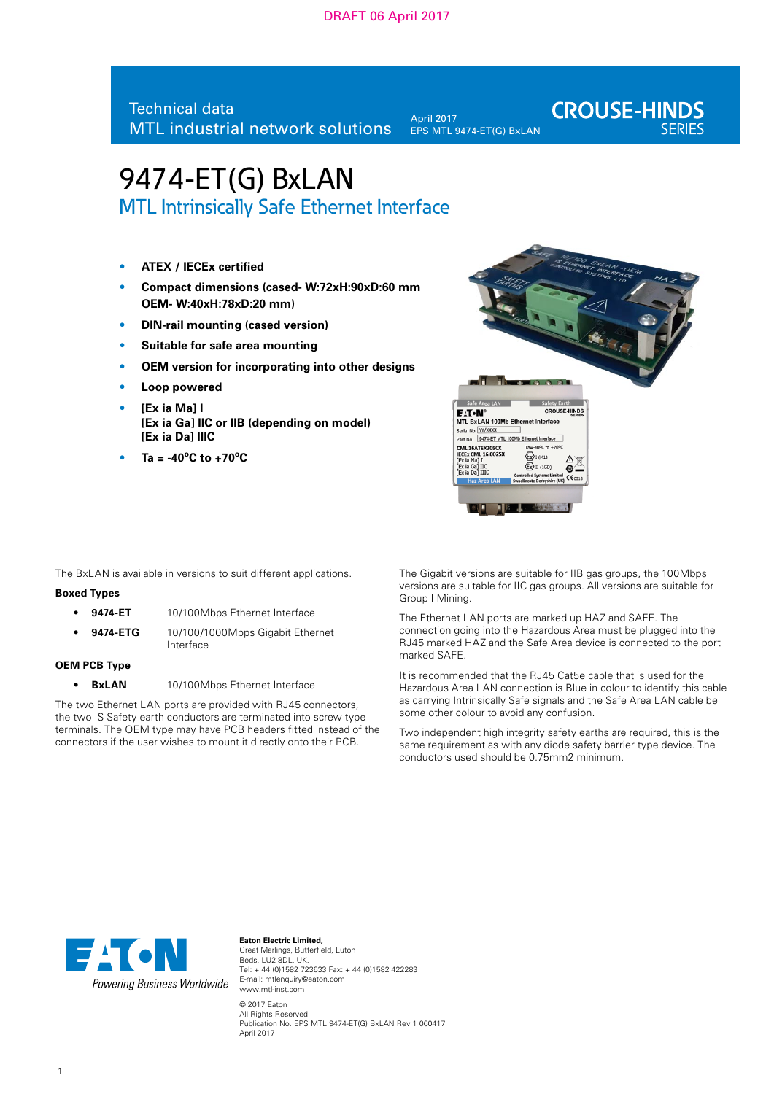## DRAFT 06 April 2017

# Technical data MTL industrial network solutions

April 2017 EPS MTL 9474-ET(G) BxLAN **CROUSE-HINDS** 

# 9474-ET(G) BxLAN

MTL Intrinsically Safe Ethernet Interface

- **ATEX / IECEx certified**
- **Compact dimensions (cased- W:72xH:90xD:60 mm OEM- W:40xH:78xD:20 mm)**
- **DIN-rail mounting (cased version)**
- **Suitable for safe area mounting**
- **OEM version for incorporating into other designs**
- **Loop powered**
- **[Ex ia Ma] I [Ex ia Ga] IIC or IIB (depending on model) [Ex ia Da] IIIC**
- $Ta = -40^{\circ}C$  to  $+70^{\circ}C$



The BxLAN is available in versions to suit different applications.

#### **Boxed Types**

- **9474-ET** 10/100Mbps Ethernet Interface
- **9474-ETG** 10/100/1000Mbps Gigabit Ethernet Interface

## **OEM PCB Type**

• **BxLAN** 10/100Mbps Ethernet Interface

The two Ethernet LAN ports are provided with RJ45 connectors, the two IS Safety earth conductors are terminated into screw type terminals. The OEM type may have PCB headers fitted instead of the connectors if the user wishes to mount it directly onto their PCB.

The Gigabit versions are suitable for IIB gas groups, the 100Mbps versions are suitable for IIC gas groups. All versions are suitable for Group I Mining.

The Ethernet LAN ports are marked up HAZ and SAFE. The connection going into the Hazardous Area must be plugged into the RJ45 marked HAZ and the Safe Area device is connected to the port marked SAFE.

It is recommended that the RJ45 Cat5e cable that is used for the Hazardous Area LAN connection is Blue in colour to identify this cable as carrying Intrinsically Safe signals and the Safe Area LAN cable be some other colour to avoid any confusion.

Two independent high integrity safety earths are required, this is the same requirement as with any diode safety barrier type device. The conductors used should be 0.75mm2 minimum.



**Eaton Electric Limited,** Great Marlings, Butterfield, Luton Beds, LU2 8DL, UK. Tel: + 44 (0)1582 723633 Fax: + 44 (0)1582 422283 E-mail: mtlenquiry@eaton.com www.mtl-inst.com

© 2017 Eaton All Rights Reserved Publication No. EPS MTL 9474-ET(G) BxLAN Rev 1 060417 April 2017